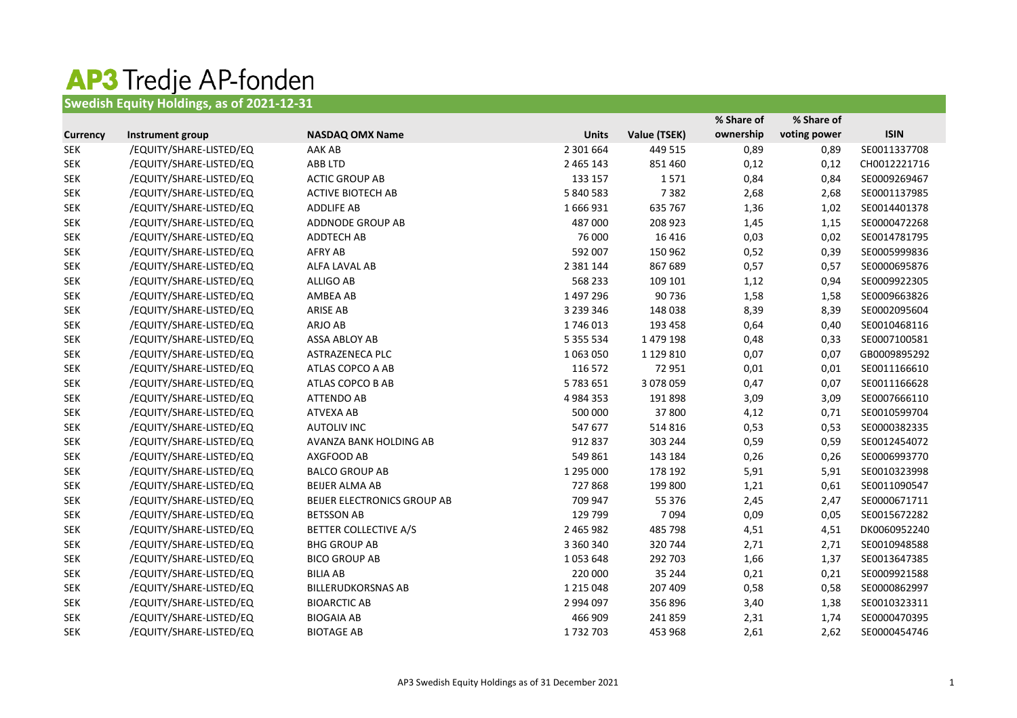## **AP3 Tredje AP-fonden**<br>Swedish Equity Holdings, as of 2021-12-31

|                 |                         |                              |               |              | % Share of | % Share of   |              |
|-----------------|-------------------------|------------------------------|---------------|--------------|------------|--------------|--------------|
| <b>Currency</b> | Instrument group        | <b>NASDAQ OMX Name</b>       | <b>Units</b>  | Value (TSEK) | ownership  | voting power | <b>ISIN</b>  |
| <b>SEK</b>      | /EQUITY/SHARE-LISTED/EQ | AAK AB                       | 2 301 664     | 449 515      | 0,89       | 0,89         | SE0011337708 |
| <b>SEK</b>      | /EQUITY/SHARE-LISTED/EQ | ABB LTD                      | 2 465 143     | 851 460      | 0,12       | 0,12         | CH0012221716 |
| <b>SEK</b>      | /EQUITY/SHARE-LISTED/EQ | <b>ACTIC GROUP AB</b>        | 133 157       | 1571         | 0,84       | 0,84         | SE0009269467 |
| <b>SEK</b>      | /EQUITY/SHARE-LISTED/EQ | <b>ACTIVE BIOTECH AB</b>     | 5 840 583     | 7382         | 2,68       | 2,68         | SE0001137985 |
| <b>SEK</b>      | /EQUITY/SHARE-LISTED/EQ | <b>ADDLIFE AB</b>            | 1666931       | 635 767      | 1,36       | 1,02         | SE0014401378 |
| <b>SEK</b>      | /EQUITY/SHARE-LISTED/EQ | ADDNODE GROUP AB             | 487 000       | 208 923      | 1,45       | 1,15         | SE0000472268 |
| <b>SEK</b>      | /EQUITY/SHARE-LISTED/EQ | <b>ADDTECH AB</b>            | 76 000        | 16 4 16      | 0,03       | 0,02         | SE0014781795 |
| <b>SEK</b>      | /EQUITY/SHARE-LISTED/EQ | <b>AFRY AB</b>               | 592 007       | 150 962      | 0,52       | 0,39         | SE0005999836 |
| <b>SEK</b>      | /EQUITY/SHARE-LISTED/EQ | ALFA LAVAL AB                | 2 3 8 1 1 4 4 | 867 689      | 0,57       | 0,57         | SE0000695876 |
| <b>SEK</b>      | /EQUITY/SHARE-LISTED/EQ | <b>ALLIGO AB</b>             | 568 233       | 109 101      | 1,12       | 0,94         | SE0009922305 |
| <b>SEK</b>      | /EQUITY/SHARE-LISTED/EQ | AMBEA AB                     | 1 497 296     | 90736        | 1,58       | 1,58         | SE0009663826 |
| <b>SEK</b>      | /EQUITY/SHARE-LISTED/EQ | <b>ARISE AB</b>              | 3 239 346     | 148 038      | 8,39       | 8,39         | SE0002095604 |
| <b>SEK</b>      | /EQUITY/SHARE-LISTED/EQ | ARJO AB                      | 1746013       | 193 458      | 0,64       | 0,40         | SE0010468116 |
| <b>SEK</b>      | /EQUITY/SHARE-LISTED/EQ | ASSA ABLOY AB                | 5 355 534     | 1 479 198    | 0,48       | 0,33         | SE0007100581 |
| <b>SEK</b>      | /EQUITY/SHARE-LISTED/EQ | ASTRAZENECA PLC              | 1 063 050     | 1 129 810    | 0,07       | 0,07         | GB0009895292 |
| <b>SEK</b>      | /EQUITY/SHARE-LISTED/EQ | ATLAS COPCO A AB             | 116 572       | 72 951       | 0,01       | 0,01         | SE0011166610 |
| <b>SEK</b>      | /EQUITY/SHARE-LISTED/EQ | ATLAS COPCO B AB             | 5783651       | 3 078 059    | 0,47       | 0,07         | SE0011166628 |
| <b>SEK</b>      | /EQUITY/SHARE-LISTED/EQ | <b>ATTENDO AB</b>            | 4 9 8 4 3 5 3 | 191898       | 3,09       | 3,09         | SE0007666110 |
| <b>SEK</b>      | /EQUITY/SHARE-LISTED/EQ | <b>ATVEXA AB</b>             | 500 000       | 37 800       | 4,12       | 0,71         | SE0010599704 |
| <b>SEK</b>      | /EQUITY/SHARE-LISTED/EQ | <b>AUTOLIV INC</b>           | 547 677       | 514 816      | 0,53       | 0,53         | SE0000382335 |
| <b>SEK</b>      | /EQUITY/SHARE-LISTED/EQ | AVANZA BANK HOLDING AB       | 912 837       | 303 244      | 0,59       | 0,59         | SE0012454072 |
| <b>SEK</b>      | /EQUITY/SHARE-LISTED/EQ | AXGFOOD AB                   | 549 861       | 143 184      | 0,26       | 0,26         | SE0006993770 |
| <b>SEK</b>      | /EQUITY/SHARE-LISTED/EQ | <b>BALCO GROUP AB</b>        | 1 295 000     | 178 192      | 5,91       | 5,91         | SE0010323998 |
| <b>SEK</b>      | /EQUITY/SHARE-LISTED/EQ | <b>BEIJER ALMA AB</b>        | 727868        | 199 800      | 1,21       | 0,61         | SE0011090547 |
| <b>SEK</b>      | /EQUITY/SHARE-LISTED/EQ | BEIJER ELECTRONICS GROUP AB  | 709 947       | 55 376       | 2,45       | 2,47         | SE0000671711 |
| <b>SEK</b>      | /EQUITY/SHARE-LISTED/EQ | <b>BETSSON AB</b>            | 129 799       | 7094         | 0,09       | 0,05         | SE0015672282 |
| <b>SEK</b>      | /EQUITY/SHARE-LISTED/EQ | <b>BETTER COLLECTIVE A/S</b> | 2 465 982     | 485 798      | 4,51       | 4,51         | DK0060952240 |
| <b>SEK</b>      | /EQUITY/SHARE-LISTED/EQ | <b>BHG GROUP AB</b>          | 3 360 340     | 320 744      | 2,71       | 2,71         | SE0010948588 |
| <b>SEK</b>      | /EQUITY/SHARE-LISTED/EQ | <b>BICO GROUP AB</b>         | 1053648       | 292 703      | 1,66       | 1,37         | SE0013647385 |
| <b>SEK</b>      | /EQUITY/SHARE-LISTED/EQ | <b>BILIA AB</b>              | 220 000       | 35 244       | 0,21       | 0,21         | SE0009921588 |
| <b>SEK</b>      | /EQUITY/SHARE-LISTED/EQ | <b>BILLERUDKORSNAS AB</b>    | 1 2 1 5 0 4 8 | 207 409      | 0,58       | 0,58         | SE0000862997 |
| <b>SEK</b>      | /EQUITY/SHARE-LISTED/EQ | <b>BIOARCTIC AB</b>          | 2 994 097     | 356 896      | 3,40       | 1,38         | SE0010323311 |
| <b>SEK</b>      | /EQUITY/SHARE-LISTED/EQ | <b>BIOGAIA AB</b>            | 466 909       | 241859       | 2,31       | 1,74         | SE0000470395 |
| <b>SEK</b>      | /EQUITY/SHARE-LISTED/EQ | <b>BIOTAGE AB</b>            | 1732703       | 453 968      | 2,61       | 2,62         | SE0000454746 |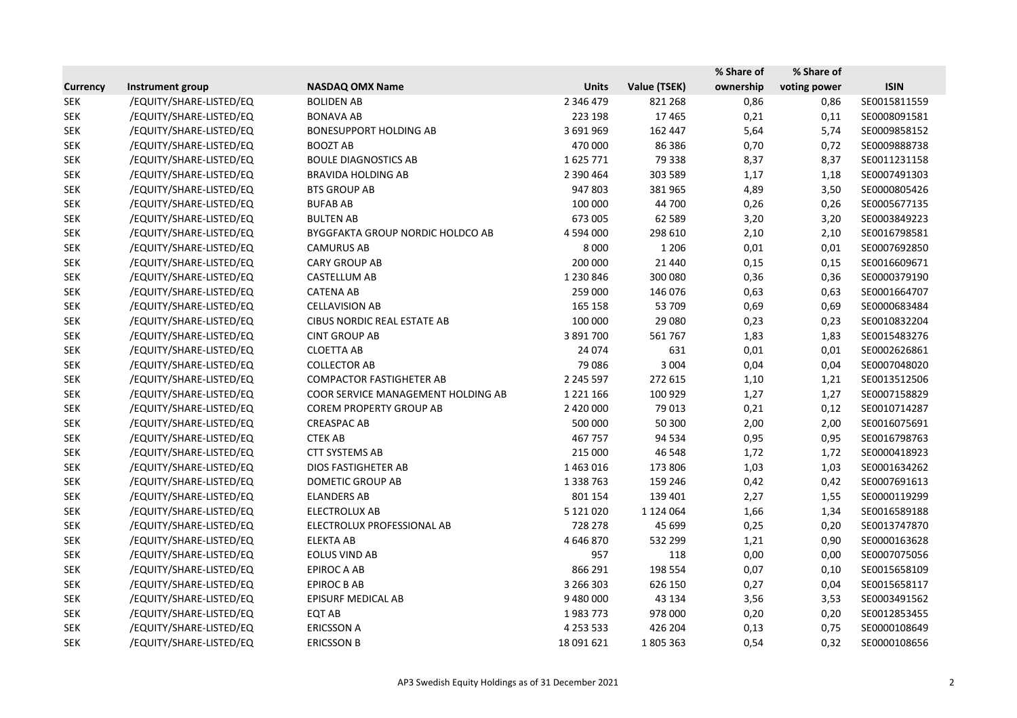|                 |                         |                                         |               |               | % Share of | % Share of   |              |
|-----------------|-------------------------|-----------------------------------------|---------------|---------------|------------|--------------|--------------|
| <b>Currency</b> | <b>Instrument group</b> | <b>NASDAQ OMX Name</b>                  | <b>Units</b>  | Value (TSEK)  | ownership  | voting power | <b>ISIN</b>  |
| <b>SEK</b>      | /EQUITY/SHARE-LISTED/EQ | <b>BOLIDEN AB</b>                       | 2 346 479     | 821 268       | 0,86       | 0,86         | SE0015811559 |
| <b>SEK</b>      | /EQUITY/SHARE-LISTED/EQ | <b>BONAVA AB</b>                        | 223 198       | 17465         | 0,21       | 0,11         | SE0008091581 |
| <b>SEK</b>      | /EQUITY/SHARE-LISTED/EQ | <b>BONESUPPORT HOLDING AB</b>           | 3 691 969     | 162 447       | 5,64       | 5,74         | SE0009858152 |
| <b>SEK</b>      | /EQUITY/SHARE-LISTED/EQ | <b>BOOZT AB</b>                         | 470 000       | 86 386        | 0,70       | 0,72         | SE0009888738 |
| <b>SEK</b>      | /EQUITY/SHARE-LISTED/EQ | <b>BOULE DIAGNOSTICS AB</b>             | 1625771       | 79 338        | 8,37       | 8,37         | SE0011231158 |
| <b>SEK</b>      | /EQUITY/SHARE-LISTED/EQ | <b>BRAVIDA HOLDING AB</b>               | 2 390 464     | 303 589       | 1,17       | 1,18         | SE0007491303 |
| <b>SEK</b>      | /EQUITY/SHARE-LISTED/EQ | <b>BTS GROUP AB</b>                     | 947 803       | 381 965       | 4,89       | 3,50         | SE0000805426 |
| <b>SEK</b>      | /EQUITY/SHARE-LISTED/EQ | <b>BUFAB AB</b>                         | 100 000       | 44 700        | 0,26       | 0,26         | SE0005677135 |
| <b>SEK</b>      | /EQUITY/SHARE-LISTED/EQ | <b>BULTEN AB</b>                        | 673 005       | 62 589        | 3,20       | 3,20         | SE0003849223 |
| <b>SEK</b>      | /EQUITY/SHARE-LISTED/EQ | <b>BYGGFAKTA GROUP NORDIC HOLDCO AB</b> | 4 594 000     | 298 610       | 2,10       | 2,10         | SE0016798581 |
| <b>SEK</b>      | /EQUITY/SHARE-LISTED/EQ | <b>CAMURUS AB</b>                       | 8 0 0 0       | 1 2 0 6       | 0,01       | 0,01         | SE0007692850 |
| <b>SEK</b>      | /EQUITY/SHARE-LISTED/EQ | <b>CARY GROUP AB</b>                    | 200 000       | 21 4 4 0      | 0,15       | 0,15         | SE0016609671 |
| <b>SEK</b>      | /EQUITY/SHARE-LISTED/EQ | CASTELLUM AB                            | 1 230 846     | 300 080       | 0,36       | 0,36         | SE0000379190 |
| <b>SEK</b>      | /EQUITY/SHARE-LISTED/EQ | <b>CATENA AB</b>                        | 259 000       | 146 076       | 0,63       | 0,63         | SE0001664707 |
| <b>SEK</b>      | /EQUITY/SHARE-LISTED/EQ | <b>CELLAVISION AB</b>                   | 165 158       | 53 709        | 0,69       | 0,69         | SE0000683484 |
| <b>SEK</b>      | /EQUITY/SHARE-LISTED/EQ | <b>CIBUS NORDIC REAL ESTATE AB</b>      | 100 000       | 29 080        | 0,23       | 0,23         | SE0010832204 |
| <b>SEK</b>      | /EQUITY/SHARE-LISTED/EQ | <b>CINT GROUP AB</b>                    | 3 891 700     | 561767        | 1,83       | 1,83         | SE0015483276 |
| <b>SEK</b>      | /EQUITY/SHARE-LISTED/EQ | <b>CLOETTA AB</b>                       | 24 0 74       | 631           | 0,01       | 0,01         | SE0002626861 |
| <b>SEK</b>      | /EQUITY/SHARE-LISTED/EQ | <b>COLLECTOR AB</b>                     | 79 0 86       | 3 0 0 4       | 0,04       | 0,04         | SE0007048020 |
| <b>SEK</b>      | /EQUITY/SHARE-LISTED/EQ | <b>COMPACTOR FASTIGHETER AB</b>         | 2 2 4 5 5 9 7 | 272 615       | 1,10       | 1,21         | SE0013512506 |
| <b>SEK</b>      | /EQUITY/SHARE-LISTED/EQ | COOR SERVICE MANAGEMENT HOLDING AB      | 1 2 2 1 1 6 6 | 100 929       | 1,27       | 1,27         | SE0007158829 |
| <b>SEK</b>      | /EQUITY/SHARE-LISTED/EQ | <b>COREM PROPERTY GROUP AB</b>          | 2 420 000     | 79 013        | 0,21       | 0,12         | SE0010714287 |
| <b>SEK</b>      | /EQUITY/SHARE-LISTED/EQ | <b>CREASPAC AB</b>                      | 500 000       | 50 300        | 2,00       | 2,00         | SE0016075691 |
| <b>SEK</b>      | /EQUITY/SHARE-LISTED/EQ | <b>CTEK AB</b>                          | 467757        | 94 534        | 0,95       | 0,95         | SE0016798763 |
| <b>SEK</b>      | /EQUITY/SHARE-LISTED/EQ | <b>CTT SYSTEMS AB</b>                   | 215 000       | 46 548        | 1,72       | 1,72         | SE0000418923 |
| <b>SEK</b>      | /EQUITY/SHARE-LISTED/EQ | <b>DIOS FASTIGHETER AB</b>              | 1463016       | 173 806       | 1,03       | 1,03         | SE0001634262 |
| SEK             | /EQUITY/SHARE-LISTED/EQ | DOMETIC GROUP AB                        | 1 3 3 7 6 3   | 159 246       | 0,42       | 0,42         | SE0007691613 |
| <b>SEK</b>      | /EQUITY/SHARE-LISTED/EQ | <b>ELANDERS AB</b>                      | 801 154       | 139 401       | 2,27       | 1,55         | SE0000119299 |
| <b>SEK</b>      | /EQUITY/SHARE-LISTED/EQ | <b>ELECTROLUX AB</b>                    | 5 121 020     | 1 1 2 4 0 6 4 | 1,66       | 1,34         | SE0016589188 |
| <b>SEK</b>      | /EQUITY/SHARE-LISTED/EQ | ELECTROLUX PROFESSIONAL AB              | 728 278       | 45 699        | 0,25       | 0,20         | SE0013747870 |
| <b>SEK</b>      | /EQUITY/SHARE-LISTED/EQ | <b>ELEKTA AB</b>                        | 4 646 870     | 532 299       | 1,21       | 0,90         | SE0000163628 |
| <b>SEK</b>      | /EQUITY/SHARE-LISTED/EQ | EOLUS VIND AB                           | 957           | 118           | 0,00       | 0,00         | SE0007075056 |
| <b>SEK</b>      | /EQUITY/SHARE-LISTED/EQ | EPIROC A AB                             | 866 291       | 198 554       | 0,07       | 0,10         | SE0015658109 |
| <b>SEK</b>      | /EQUITY/SHARE-LISTED/EQ | EPIROC B AB                             | 3 266 303     | 626 150       | 0,27       | 0,04         | SE0015658117 |
| <b>SEK</b>      | /EQUITY/SHARE-LISTED/EQ | EPISURF MEDICAL AB                      | 9 480 000     | 43 134        | 3,56       | 3,53         | SE0003491562 |
| <b>SEK</b>      | /EQUITY/SHARE-LISTED/EQ | EQT AB                                  | 1983773       | 978 000       | 0,20       | 0,20         | SE0012853455 |
| <b>SEK</b>      | /EQUITY/SHARE-LISTED/EQ | <b>ERICSSON A</b>                       | 4 2 5 3 5 3 3 | 426 204       | 0,13       | 0,75         | SE0000108649 |
| <b>SEK</b>      | /EQUITY/SHARE-LISTED/EQ | <b>ERICSSON B</b>                       | 18 091 621    | 1805363       | 0,54       | 0,32         | SE0000108656 |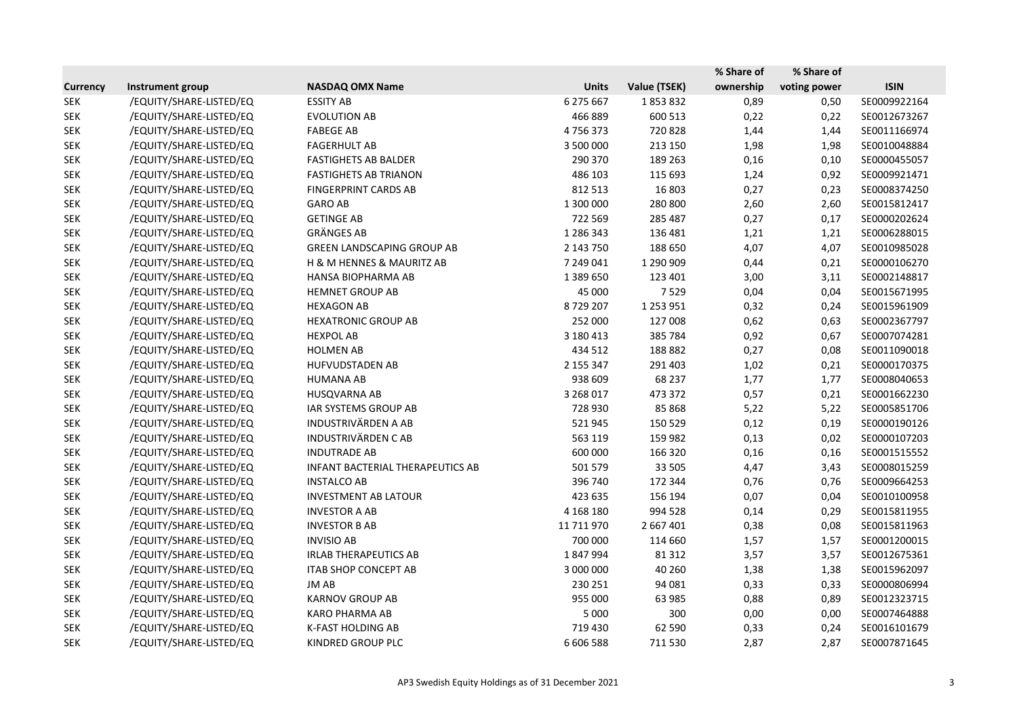|                 |                         |                                   |              |               | % Share of | % Share of   |              |
|-----------------|-------------------------|-----------------------------------|--------------|---------------|------------|--------------|--------------|
| <b>Currency</b> | Instrument group        | <b>NASDAQ OMX Name</b>            | <b>Units</b> | Value (TSEK)  | ownership  | voting power | <b>ISIN</b>  |
| <b>SEK</b>      | /EQUITY/SHARE-LISTED/EQ | <b>ESSITY AB</b>                  | 6 275 667    | 1853832       | 0,89       | 0,50         | SE0009922164 |
| <b>SEK</b>      | /EQUITY/SHARE-LISTED/EQ | <b>EVOLUTION AB</b>               | 466 889      | 600 513       | 0,22       | 0,22         | SE0012673267 |
| <b>SEK</b>      | /EQUITY/SHARE-LISTED/EQ | <b>FABEGE AB</b>                  | 4756373      | 720828        | 1,44       | 1,44         | SE0011166974 |
| <b>SEK</b>      | /EQUITY/SHARE-LISTED/EQ | <b>FAGERHULT AB</b>               | 3 500 000    | 213 150       | 1,98       | 1,98         | SE0010048884 |
| <b>SEK</b>      | /EQUITY/SHARE-LISTED/EQ | <b>FASTIGHETS AB BALDER</b>       | 290 370      | 189 263       | 0,16       | 0,10         | SE0000455057 |
| <b>SEK</b>      | /EQUITY/SHARE-LISTED/EQ | <b>FASTIGHETS AB TRIANON</b>      | 486 103      | 115 693       | 1,24       | 0,92         | SE0009921471 |
| <b>SEK</b>      | /EQUITY/SHARE-LISTED/EQ | <b>FINGERPRINT CARDS AB</b>       | 812 513      | 16 803        | 0,27       | 0,23         | SE0008374250 |
| <b>SEK</b>      | /EQUITY/SHARE-LISTED/EQ | <b>GARO AB</b>                    | 1 300 000    | 280 800       | 2,60       | 2,60         | SE0015812417 |
| <b>SEK</b>      | /EQUITY/SHARE-LISTED/EQ | <b>GETINGE AB</b>                 | 722 569      | 285 487       | 0,27       | 0,17         | SE0000202624 |
| <b>SEK</b>      | /EQUITY/SHARE-LISTED/EQ | <b>GRÄNGES AB</b>                 | 1 286 343    | 136 481       | 1,21       | 1,21         | SE0006288015 |
| <b>SEK</b>      | /EQUITY/SHARE-LISTED/EQ | <b>GREEN LANDSCAPING GROUP AB</b> | 2 143 750    | 188 650       | 4,07       | 4,07         | SE0010985028 |
| <b>SEK</b>      | /EQUITY/SHARE-LISTED/EQ | H & M HENNES & MAURITZ AB         | 7 249 041    | 1 290 909     | 0,44       | 0,21         | SE0000106270 |
| <b>SEK</b>      | /EQUITY/SHARE-LISTED/EQ | HANSA BIOPHARMA AB                | 1 389 650    | 123 401       | 3,00       | 3,11         | SE0002148817 |
| <b>SEK</b>      | /EQUITY/SHARE-LISTED/EQ | <b>HEMNET GROUP AB</b>            | 45 000       | 7529          | 0,04       | 0,04         | SE0015671995 |
| <b>SEK</b>      | /EQUITY/SHARE-LISTED/EQ | <b>HEXAGON AB</b>                 | 8729207      | 1 2 5 3 9 5 1 | 0,32       | 0,24         | SE0015961909 |
| <b>SEK</b>      | /EQUITY/SHARE-LISTED/EQ | <b>HEXATRONIC GROUP AB</b>        | 252 000      | 127 008       | 0,62       | 0,63         | SE0002367797 |
| <b>SEK</b>      | /EQUITY/SHARE-LISTED/EQ | <b>HEXPOL AB</b>                  | 3 180 413    | 385 784       | 0,92       | 0,67         | SE0007074281 |
| <b>SEK</b>      | /EQUITY/SHARE-LISTED/EQ | <b>HOLMEN AB</b>                  | 434 512      | 188 882       | 0,27       | 0,08         | SE0011090018 |
| <b>SEK</b>      | /EQUITY/SHARE-LISTED/EQ | HUFVUDSTADEN AB                   | 2 155 347    | 291 403       | 1,02       | 0,21         | SE0000170375 |
| <b>SEK</b>      | /EQUITY/SHARE-LISTED/EQ | <b>HUMANA AB</b>                  | 938 609      | 68 237        | 1,77       | 1,77         | SE0008040653 |
| <b>SEK</b>      | /EQUITY/SHARE-LISTED/EQ | HUSQVARNA AB                      | 3 268 017    | 473 372       | 0,57       | 0,21         | SE0001662230 |
| <b>SEK</b>      | /EQUITY/SHARE-LISTED/EQ | IAR SYSTEMS GROUP AB              | 728 930      | 85 868        | 5,22       | 5,22         | SE0005851706 |
| <b>SEK</b>      | /EQUITY/SHARE-LISTED/EQ | <b>INDUSTRIVÄRDEN A AB</b>        | 521945       | 150 529       | 0,12       | 0,19         | SE0000190126 |
| <b>SEK</b>      | /EQUITY/SHARE-LISTED/EQ | <b>INDUSTRIVÄRDEN CAB</b>         | 563 119      | 159 982       | 0,13       | 0,02         | SE0000107203 |
| <b>SEK</b>      | /EQUITY/SHARE-LISTED/EQ | <b>INDUTRADE AB</b>               | 600 000      | 166 320       | 0,16       | 0,16         | SE0001515552 |
| <b>SEK</b>      | /EQUITY/SHARE-LISTED/EQ | INFANT BACTERIAL THERAPEUTICS AB  | 501 579      | 33 505        | 4,47       | 3,43         | SE0008015259 |
| <b>SEK</b>      | /EQUITY/SHARE-LISTED/EQ | <b>INSTALCO AB</b>                | 396 740      | 172 344       | 0,76       | 0,76         | SE0009664253 |
| <b>SEK</b>      | /EQUITY/SHARE-LISTED/EQ | <b>INVESTMENT AB LATOUR</b>       | 423 635      | 156 194       | 0,07       | 0,04         | SE0010100958 |
| <b>SEK</b>      | /EQUITY/SHARE-LISTED/EQ | <b>INVESTOR A AB</b>              | 4 168 180    | 994 528       | 0,14       | 0,29         | SE0015811955 |
| <b>SEK</b>      | /EQUITY/SHARE-LISTED/EQ | <b>INVESTOR B AB</b>              | 11 711 970   | 2 667 401     | 0,38       | 0,08         | SE0015811963 |
| <b>SEK</b>      | /EQUITY/SHARE-LISTED/EQ | <b>INVISIO AB</b>                 | 700 000      | 114 660       | 1,57       | 1,57         | SE0001200015 |
| <b>SEK</b>      | /EQUITY/SHARE-LISTED/EQ | <b>IRLAB THERAPEUTICS AB</b>      | 1847994      | 81 312        | 3,57       | 3,57         | SE0012675361 |
| <b>SEK</b>      | /EQUITY/SHARE-LISTED/EQ | <b>ITAB SHOP CONCEPT AB</b>       | 3 000 000    | 40 260        | 1,38       | 1,38         | SE0015962097 |
| <b>SEK</b>      | /EQUITY/SHARE-LISTED/EQ | JM AB                             | 230 251      | 94 081        | 0,33       | 0,33         | SE0000806994 |
| <b>SEK</b>      | /EQUITY/SHARE-LISTED/EQ | <b>KARNOV GROUP AB</b>            | 955 000      | 63 985        | 0,88       | 0,89         | SE0012323715 |
| <b>SEK</b>      | /EQUITY/SHARE-LISTED/EQ | <b>KARO PHARMA AB</b>             | 5 0 0 0      | 300           | 0,00       | 0,00         | SE0007464888 |
| <b>SEK</b>      | /EQUITY/SHARE-LISTED/EQ | <b>K-FAST HOLDING AB</b>          | 719 430      | 62 590        | 0,33       | 0,24         | SE0016101679 |
| <b>SEK</b>      | /EQUITY/SHARE-LISTED/EQ | KINDRED GROUP PLC                 | 6 606 588    | 711 530       | 2,87       | 2,87         | SE0007871645 |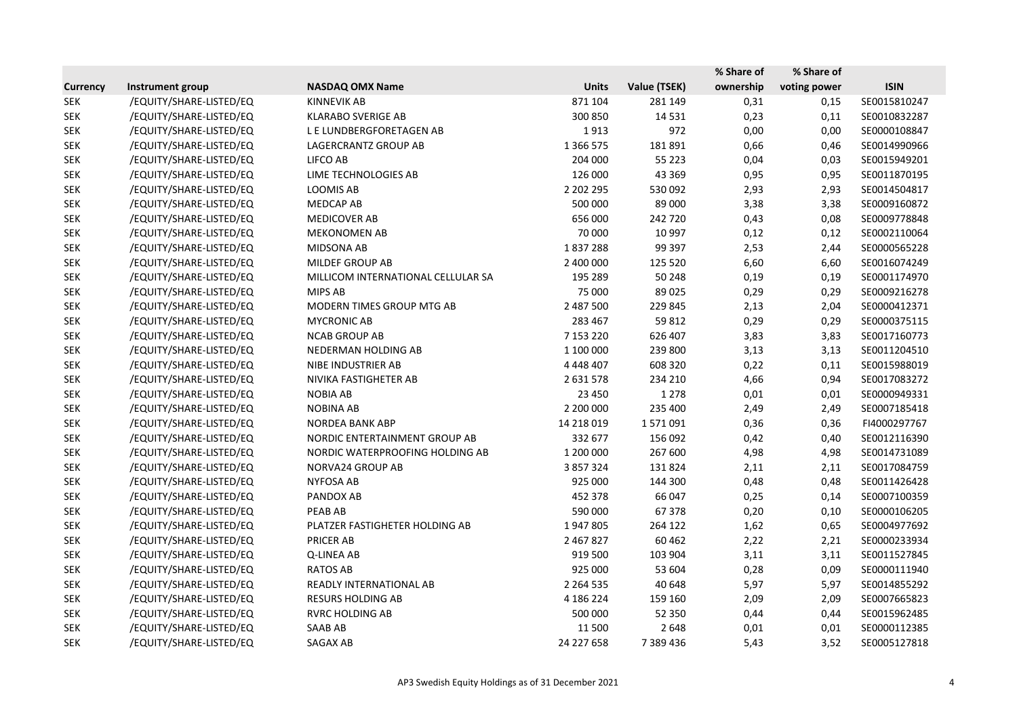|                 |                         |                                    |               |              | % Share of | % Share of   |              |
|-----------------|-------------------------|------------------------------------|---------------|--------------|------------|--------------|--------------|
| <b>Currency</b> | Instrument group        | <b>NASDAQ OMX Name</b>             | <b>Units</b>  | Value (TSEK) | ownership  | voting power | <b>ISIN</b>  |
| <b>SEK</b>      | /EQUITY/SHARE-LISTED/EQ | <b>KINNEVIK AB</b>                 | 871 104       | 281 149      | 0,31       | 0,15         | SE0015810247 |
| <b>SEK</b>      | /EQUITY/SHARE-LISTED/EQ | <b>KLARABO SVERIGE AB</b>          | 300 850       | 14 5 31      | 0,23       | 0,11         | SE0010832287 |
| <b>SEK</b>      | /EQUITY/SHARE-LISTED/EQ | L E LUNDBERGFORETAGEN AB           | 1913          | 972          | 0,00       | 0,00         | SE0000108847 |
| <b>SEK</b>      | /EQUITY/SHARE-LISTED/EQ | LAGERCRANTZ GROUP AB               | 1 3 6 5 7 5   | 181891       | 0,66       | 0,46         | SE0014990966 |
| <b>SEK</b>      | /EQUITY/SHARE-LISTED/EQ | LIFCO AB                           | 204 000       | 55 2 23      | 0,04       | 0,03         | SE0015949201 |
| <b>SEK</b>      | /EQUITY/SHARE-LISTED/EQ | LIME TECHNOLOGIES AB               | 126 000       | 43 3 69      | 0,95       | 0,95         | SE0011870195 |
| <b>SEK</b>      | /EQUITY/SHARE-LISTED/EQ | <b>LOOMIS AB</b>                   | 2 202 295     | 530 092      | 2,93       | 2,93         | SE0014504817 |
| <b>SEK</b>      | /EQUITY/SHARE-LISTED/EQ | <b>MEDCAP AB</b>                   | 500 000       | 89 000       | 3,38       | 3,38         | SE0009160872 |
| <b>SEK</b>      | /EQUITY/SHARE-LISTED/EQ | MEDICOVER AB                       | 656 000       | 242 720      | 0,43       | 0,08         | SE0009778848 |
| <b>SEK</b>      | /EQUITY/SHARE-LISTED/EQ | <b>MEKONOMEN AB</b>                | 70 000        | 10 997       | 0,12       | 0,12         | SE0002110064 |
| <b>SEK</b>      | /EQUITY/SHARE-LISTED/EQ | MIDSONA AB                         | 1837288       | 99 397       | 2,53       | 2,44         | SE0000565228 |
| <b>SEK</b>      | /EQUITY/SHARE-LISTED/EQ | MILDEF GROUP AB                    | 2 400 000     | 125 520      | 6,60       | 6,60         | SE0016074249 |
| <b>SEK</b>      | /EQUITY/SHARE-LISTED/EQ | MILLICOM INTERNATIONAL CELLULAR SA | 195 289       | 50 248       | 0,19       | 0,19         | SE0001174970 |
| <b>SEK</b>      | /EQUITY/SHARE-LISTED/EQ | <b>MIPS AB</b>                     | 75 000        | 89 0 25      | 0,29       | 0,29         | SE0009216278 |
| <b>SEK</b>      | /EQUITY/SHARE-LISTED/EQ | MODERN TIMES GROUP MTG AB          | 2 487 500     | 229 845      | 2,13       | 2,04         | SE0000412371 |
| <b>SEK</b>      | /EQUITY/SHARE-LISTED/EQ | <b>MYCRONIC AB</b>                 | 283 467       | 59 812       | 0,29       | 0,29         | SE0000375115 |
| <b>SEK</b>      | /EQUITY/SHARE-LISTED/EQ | <b>NCAB GROUP AB</b>               | 7 153 220     | 626 407      | 3,83       | 3,83         | SE0017160773 |
| <b>SEK</b>      | /EQUITY/SHARE-LISTED/EQ | NEDERMAN HOLDING AB                | 1 100 000     | 239 800      | 3,13       | 3,13         | SE0011204510 |
| <b>SEK</b>      | /EQUITY/SHARE-LISTED/EQ | NIBE INDUSTRIER AB                 | 4 4 4 4 4 0 7 | 608 320      | 0,22       | 0,11         | SE0015988019 |
| <b>SEK</b>      | /EQUITY/SHARE-LISTED/EQ | NIVIKA FASTIGHETER AB              | 2 631 578     | 234 210      | 4,66       | 0,94         | SE0017083272 |
| <b>SEK</b>      | /EQUITY/SHARE-LISTED/EQ | <b>NOBIA AB</b>                    | 23 450        | 1 2 7 8      | 0,01       | 0,01         | SE0000949331 |
| <b>SEK</b>      | /EQUITY/SHARE-LISTED/EQ | <b>NOBINA AB</b>                   | 2 200 000     | 235 400      | 2,49       | 2,49         | SE0007185418 |
| <b>SEK</b>      | /EQUITY/SHARE-LISTED/EQ | <b>NORDEA BANK ABP</b>             | 14 218 019    | 1571091      | 0,36       | 0,36         | FI4000297767 |
| <b>SEK</b>      | /EQUITY/SHARE-LISTED/EQ | NORDIC ENTERTAINMENT GROUP AB      | 332 677       | 156 092      | 0,42       | 0,40         | SE0012116390 |
| <b>SEK</b>      | /EQUITY/SHARE-LISTED/EQ | NORDIC WATERPROOFING HOLDING AB    | 1 200 000     | 267 600      | 4,98       | 4,98         | SE0014731089 |
| <b>SEK</b>      | /EQUITY/SHARE-LISTED/EQ | NORVA24 GROUP AB                   | 3 857 324     | 131824       | 2,11       | 2,11         | SE0017084759 |
| <b>SEK</b>      | /EQUITY/SHARE-LISTED/EQ | <b>NYFOSA AB</b>                   | 925 000       | 144 300      | 0,48       | 0,48         | SE0011426428 |
| <b>SEK</b>      | /EQUITY/SHARE-LISTED/EQ | PANDOX AB                          | 452 378       | 66 047       | 0,25       | 0,14         | SE0007100359 |
| <b>SEK</b>      | /EQUITY/SHARE-LISTED/EQ | <b>PEAB AB</b>                     | 590 000       | 67378        | 0,20       | 0,10         | SE0000106205 |
| <b>SEK</b>      | /EQUITY/SHARE-LISTED/EQ | PLATZER FASTIGHETER HOLDING AB     | 1947805       | 264 122      | 1,62       | 0,65         | SE0004977692 |
| <b>SEK</b>      | /EQUITY/SHARE-LISTED/EQ | PRICER AB                          | 2 467 827     | 60 4 62      | 2,22       | 2,21         | SE0000233934 |
| <b>SEK</b>      | /EQUITY/SHARE-LISTED/EQ | Q-LINEA AB                         | 919 500       | 103 904      | 3,11       | 3,11         | SE0011527845 |
| <b>SEK</b>      | /EQUITY/SHARE-LISTED/EQ | RATOS AB                           | 925 000       | 53 604       | 0,28       | 0,09         | SE0000111940 |
| <b>SEK</b>      | /EQUITY/SHARE-LISTED/EQ | READLY INTERNATIONAL AB            | 2 2 6 4 5 3 5 | 40 648       | 5,97       | 5,97         | SE0014855292 |
| <b>SEK</b>      | /EQUITY/SHARE-LISTED/EQ | <b>RESURS HOLDING AB</b>           | 4 186 224     | 159 160      | 2,09       | 2,09         | SE0007665823 |
| <b>SEK</b>      | /EQUITY/SHARE-LISTED/EQ | <b>RVRC HOLDING AB</b>             | 500 000       | 52 350       | 0,44       | 0,44         | SE0015962485 |
| <b>SEK</b>      | /EQUITY/SHARE-LISTED/EQ | SAAB AB                            | 11 500        | 2648         | 0,01       | 0,01         | SE0000112385 |
| <b>SEK</b>      | /EQUITY/SHARE-LISTED/EQ | SAGAX AB                           | 24 227 658    | 7 389 436    | 5,43       | 3,52         | SE0005127818 |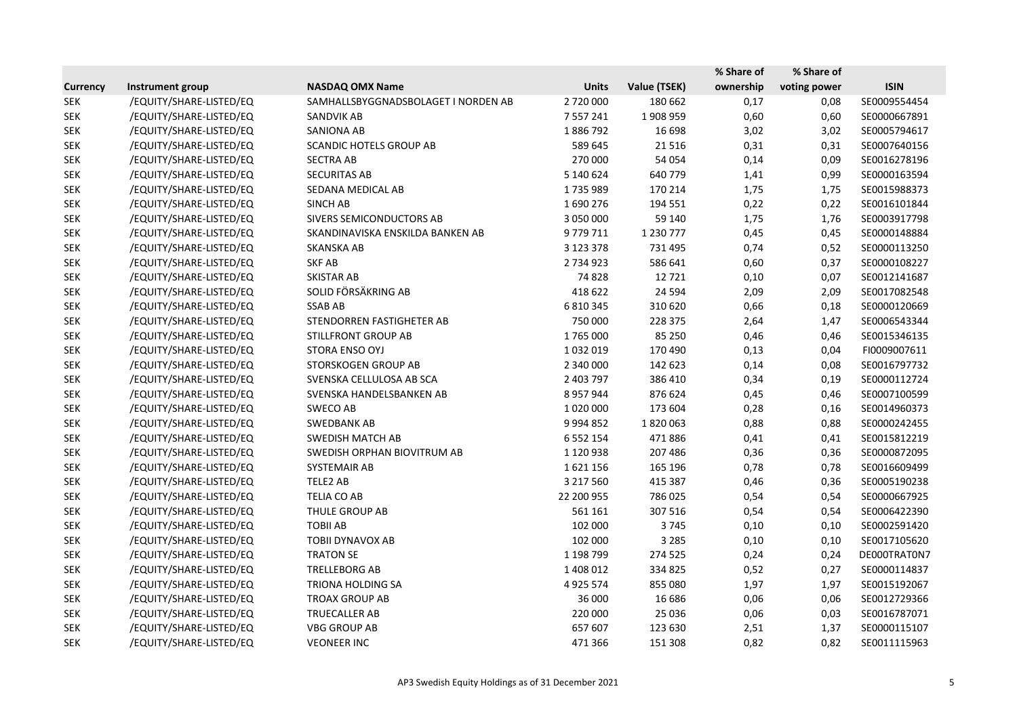|                 |                         |                                     |               |               | % Share of | % Share of   |              |
|-----------------|-------------------------|-------------------------------------|---------------|---------------|------------|--------------|--------------|
| <b>Currency</b> | Instrument group        | <b>NASDAQ OMX Name</b>              | <b>Units</b>  | Value (TSEK)  | ownership  | voting power | <b>ISIN</b>  |
| <b>SEK</b>      | /EQUITY/SHARE-LISTED/EQ | SAMHALLSBYGGNADSBOLAGET I NORDEN AB | 2720000       | 180 662       | 0,17       | 0,08         | SE0009554454 |
| <b>SEK</b>      | /EQUITY/SHARE-LISTED/EQ | SANDVIK AB                          | 7 5 5 7 2 4 1 | 1908959       | 0,60       | 0,60         | SE0000667891 |
| <b>SEK</b>      | /EQUITY/SHARE-LISTED/EQ | <b>SANIONA AB</b>                   | 1886792       | 16 698        | 3,02       | 3,02         | SE0005794617 |
| <b>SEK</b>      | /EQUITY/SHARE-LISTED/EQ | <b>SCANDIC HOTELS GROUP AB</b>      | 589 645       | 21516         | 0,31       | 0,31         | SE0007640156 |
| <b>SEK</b>      | /EQUITY/SHARE-LISTED/EQ | <b>SECTRA AB</b>                    | 270 000       | 54 054        | 0,14       | 0,09         | SE0016278196 |
| <b>SEK</b>      | /EQUITY/SHARE-LISTED/EQ | <b>SECURITAS AB</b>                 | 5 140 624     | 640 779       | 1,41       | 0,99         | SE0000163594 |
| <b>SEK</b>      | /EQUITY/SHARE-LISTED/EQ | SEDANA MEDICAL AB                   | 1735989       | 170 214       | 1,75       | 1,75         | SE0015988373 |
| <b>SEK</b>      | /EQUITY/SHARE-LISTED/EQ | <b>SINCH AB</b>                     | 1690276       | 194 551       | 0,22       | 0,22         | SE0016101844 |
| <b>SEK</b>      | /EQUITY/SHARE-LISTED/EQ | SIVERS SEMICONDUCTORS AB            | 3 050 000     | 59 140        | 1,75       | 1,76         | SE0003917798 |
| <b>SEK</b>      | /EQUITY/SHARE-LISTED/EQ | SKANDINAVISKA ENSKILDA BANKEN AB    | 9779711       | 1 2 3 0 7 7 7 | 0,45       | 0,45         | SE0000148884 |
| <b>SEK</b>      | /EQUITY/SHARE-LISTED/EQ | <b>SKANSKA AB</b>                   | 3 123 378     | 731 495       | 0,74       | 0,52         | SE0000113250 |
| <b>SEK</b>      | /EQUITY/SHARE-LISTED/EQ | <b>SKF AB</b>                       | 2 7 3 4 9 2 3 | 586 641       | 0,60       | 0,37         | SE0000108227 |
| <b>SEK</b>      | /EQUITY/SHARE-LISTED/EQ | <b>SKISTAR AB</b>                   | 74 828        | 12721         | 0,10       | 0,07         | SE0012141687 |
| <b>SEK</b>      | /EQUITY/SHARE-LISTED/EQ | SOLID FÖRSÄKRING AB                 | 418 622       | 24 5 94       | 2,09       | 2,09         | SE0017082548 |
| <b>SEK</b>      | /EQUITY/SHARE-LISTED/EQ | <b>SSAB AB</b>                      | 6 8 10 3 45   | 310 620       | 0,66       | 0,18         | SE0000120669 |
| <b>SEK</b>      | /EQUITY/SHARE-LISTED/EQ | STENDORREN FASTIGHETER AB           | 750 000       | 228 375       | 2,64       | 1,47         | SE0006543344 |
| <b>SEK</b>      | /EQUITY/SHARE-LISTED/EQ | <b>STILLFRONT GROUP AB</b>          | 1765000       | 85 250        | 0,46       | 0,46         | SE0015346135 |
| <b>SEK</b>      | /EQUITY/SHARE-LISTED/EQ | STORA ENSO OYJ                      | 1032019       | 170 490       | 0,13       | 0,04         | FI0009007611 |
| <b>SEK</b>      | /EQUITY/SHARE-LISTED/EQ | STORSKOGEN GROUP AB                 | 2 340 000     | 142 623       | 0,14       | 0,08         | SE0016797732 |
| <b>SEK</b>      | /EQUITY/SHARE-LISTED/EQ | SVENSKA CELLULOSA AB SCA            | 2 403 797     | 386 410       | 0,34       | 0,19         | SE0000112724 |
| <b>SEK</b>      | /EQUITY/SHARE-LISTED/EQ | SVENSKA HANDELSBANKEN AB            | 8 9 5 7 9 4 4 | 876 624       | 0,45       | 0,46         | SE0007100599 |
| <b>SEK</b>      | /EQUITY/SHARE-LISTED/EQ | SWECO AB                            | 1020000       | 173 604       | 0,28       | 0,16         | SE0014960373 |
| <b>SEK</b>      | /EQUITY/SHARE-LISTED/EQ | <b>SWEDBANK AB</b>                  | 9 9 9 4 8 5 2 | 1820063       | 0,88       | 0,88         | SE0000242455 |
| <b>SEK</b>      | /EQUITY/SHARE-LISTED/EQ | <b>SWEDISH MATCH AB</b>             | 6 5 5 2 1 5 4 | 471886        | 0,41       | 0,41         | SE0015812219 |
| <b>SEK</b>      | /EQUITY/SHARE-LISTED/EQ | SWEDISH ORPHAN BIOVITRUM AB         | 1 1 2 0 9 3 8 | 207 486       | 0,36       | 0,36         | SE0000872095 |
| <b>SEK</b>      | /EQUITY/SHARE-LISTED/EQ | SYSTEMAIR AB                        | 1621156       | 165 196       | 0,78       | 0,78         | SE0016609499 |
| SEK             | /EQUITY/SHARE-LISTED/EQ | TELE2 AB                            | 3 217 560     | 415 387       | 0,46       | 0,36         | SE0005190238 |
| SEK             | /EQUITY/SHARE-LISTED/EQ | <b>TELIA CO AB</b>                  | 22 200 955    | 786 025       | 0,54       | 0,54         | SE0000667925 |
| <b>SEK</b>      | /EQUITY/SHARE-LISTED/EQ | THULE GROUP AB                      | 561 161       | 307 516       | 0,54       | 0,54         | SE0006422390 |
| <b>SEK</b>      | /EQUITY/SHARE-LISTED/EQ | <b>TOBILAB</b>                      | 102 000       | 3745          | 0,10       | 0,10         | SE0002591420 |
| SEK             | /EQUITY/SHARE-LISTED/EQ | <b>TOBII DYNAVOX AB</b>             | 102 000       | 3 2 8 5       | 0,10       | 0,10         | SE0017105620 |
| <b>SEK</b>      | /EQUITY/SHARE-LISTED/EQ | <b>TRATON SE</b>                    | 1 198 799     | 274 525       | 0,24       | 0,24         | DE000TRAT0N7 |
| <b>SEK</b>      | /EQUITY/SHARE-LISTED/EQ | <b>TRELLEBORG AB</b>                | 1 408 012     | 334 825       | 0,52       | 0,27         | SE0000114837 |
| <b>SEK</b>      | /EQUITY/SHARE-LISTED/EQ | TRIONA HOLDING SA                   | 4 9 2 5 5 7 4 | 855 080       | 1,97       | 1,97         | SE0015192067 |
| <b>SEK</b>      | /EQUITY/SHARE-LISTED/EQ | <b>TROAX GROUP AB</b>               | 36 000        | 16 686        | 0,06       | 0,06         | SE0012729366 |
| <b>SEK</b>      | /EQUITY/SHARE-LISTED/EQ | TRUECALLER AB                       | 220 000       | 25 0 36       | 0,06       | 0,03         | SE0016787071 |
| <b>SEK</b>      | /EQUITY/SHARE-LISTED/EQ | <b>VBG GROUP AB</b>                 | 657 607       | 123 630       | 2,51       | 1,37         | SE0000115107 |
| <b>SEK</b>      | /EQUITY/SHARE-LISTED/EQ | <b>VEONEER INC</b>                  | 471 366       | 151 308       | 0,82       | 0,82         | SE0011115963 |